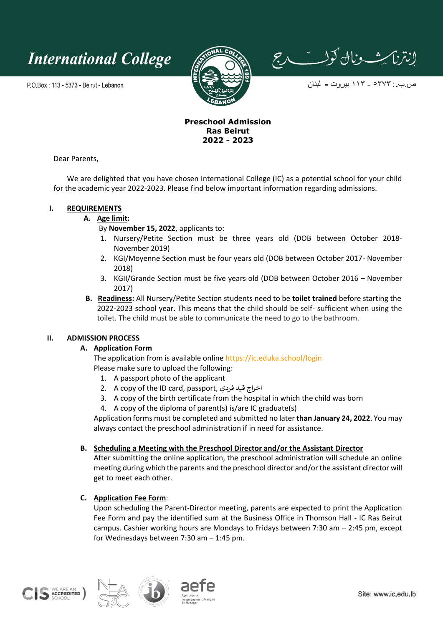**International College** 

P.O.Box: 113 - 5373 - Beirut - Lebanon



إنتزاكيث ونال كولست رج

ص ب : ٥٣٧٣ ــ ١١٣ بيروت ــ لبنان

## **Preschool Admission Ras Beirut 2022 - 2023**

Dear Parents,

We are delighted that you have chosen International College (IC) as a potential school for your child for the academic year 2022-2023. Please find below important information regarding admissions.

# **I. REQUIREMENTS**

### **A. Age limit:**

By **November 15, 2022**, applicants to:

- 1. Nursery/Petite Section must be three years old (DOB between October 2018- November 2019)
- 2. KGI/Moyenne Section must be four years old (DOB between October 2017- November 2018)
- 3. KGII/Grande Section must be five years old (DOB between October 2016 November 2017)
- **B. Readiness:** All Nursery/Petite Section students need to be **toilet trained** before starting the 2022-2023 school year. This means that the child should be self- sufficient when using the toilet. The child must be able to communicate the need to go to the bathroom.

### **II. ADMISSION PROCESS**

# **A. Application Form**

The application from is available online<https://ic.eduka.school/login> Please make sure to upload the following:

- 1. A passport photo of the applicant
- 2. A copy of the ID card, passport, فردي قيد اخراج
- 3. A copy of the birth certificate from the hospital in which the child was born
- 4. A copy of the diploma of parent(s) is/are IC graduate(s)

Application forms must be completed and submitted no later **than January 24, 2022**. You may always contact the preschool administration if in need for assistance.

# **B. Scheduling a Meeting with the Preschool Director and/or the Assistant Director**

After submitting the online application, the preschool administration will schedule an online meeting during which the parents and the preschool director and/or the assistant director will get to meet each other.

# **C. Application Fee Form**:

Upon scheduling the Parent-Director meeting, parents are expected to print the Application Fee Form and pay the identified sum at the Business Office in Thomson Hall - IC Ras Beirut campus. Cashier working hours are Mondays to Fridays between 7:30 am – 2:45 pm, except for Wednesdays between 7:30 am – 1:45 pm.